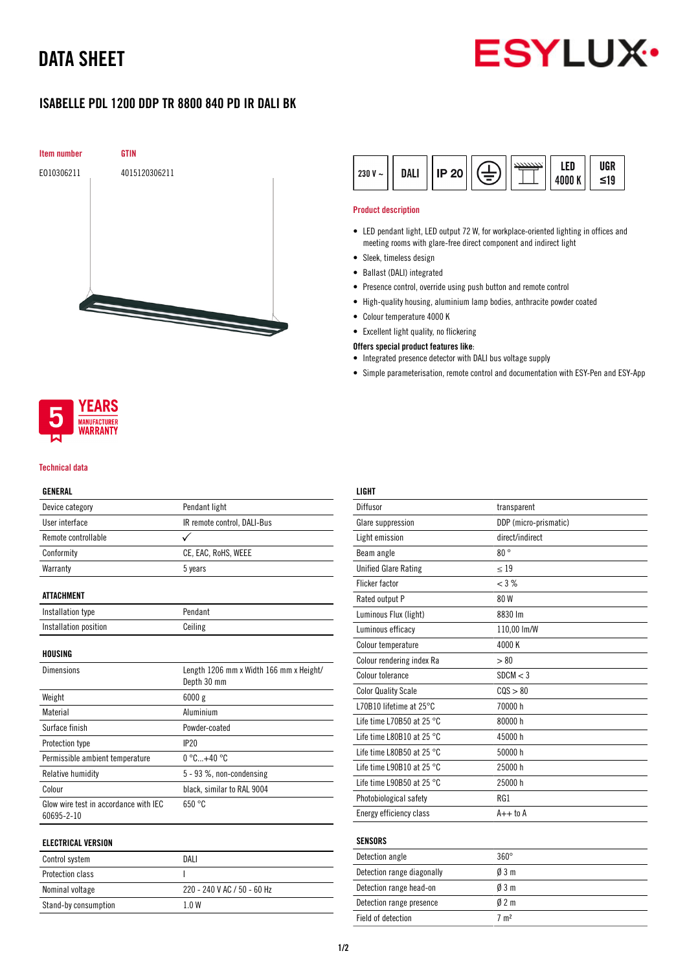# DATA SHEET



## ISABELLE PDL 1200 DDP TR 8800 840 PD IR DALI BK





#### Technical data

#### GENERAL

| Device category                                     | Pendant light                                          |  |
|-----------------------------------------------------|--------------------------------------------------------|--|
| User interface                                      | IR remote control, DALI-Bus                            |  |
| Remote controllable                                 | ✓                                                      |  |
| Conformity                                          | CE, EAC, RoHS, WEEE                                    |  |
| Warranty                                            | 5 years                                                |  |
| <b>ATTACHMENT</b>                                   |                                                        |  |
| Installation type                                   | Pendant                                                |  |
| Installation position                               | Ceiling                                                |  |
| HOUSING                                             |                                                        |  |
| <b>Dimensions</b>                                   | Length 1206 mm x Width 166 mm x Height/<br>Depth 30 mm |  |
| Weight                                              | 6000 g                                                 |  |
| Material                                            | Aluminium                                              |  |
| Surface finish                                      | Powder-coated                                          |  |
| Protection type                                     | <b>IP20</b>                                            |  |
| Permissible ambient temperature                     | $0^{\circ}$ C+40 $^{\circ}$ C                          |  |
| <b>Relative humidity</b>                            | 5 - 93 %, non-condensing                               |  |
| Colour                                              | black, similar to RAL 9004                             |  |
| Glow wire test in accordance with IEC<br>60695-2-10 | 650 °C                                                 |  |
| .                                                   |                                                        |  |

### ELECTRICAL VERSION

| Control system          | DALI                        |
|-------------------------|-----------------------------|
| <b>Protection class</b> |                             |
| Nominal voltage         | 220 - 240 V AC / 50 - 60 Hz |
| Stand-by consumption    | 1 0 W                       |

| $230 V -$ | DALI | <b>IP 20</b> |  |  | LED<br>4000K | UGR<br>$\leq 19$ |
|-----------|------|--------------|--|--|--------------|------------------|
|-----------|------|--------------|--|--|--------------|------------------|

#### Product description

- LED pendant light, LED output 72 W, for workplace-oriented lighting in offices and meeting rooms with glare-free direct component and indirect light
- Sleek, timeless design
- Ballast (DALI) integrated
- Presence control, override using push button and remote control
- High-quality housing, aluminium lamp bodies, anthracite powder coated
- Colour temperature 4000 K
- Excellent light quality, no flickering

### Offers special product features like:

- Integrated presence detector with DALI bus voltage supply
- Simple parameterisation, remote control and documentation with ESY-Pen and ESY-App

| LIGHT                               |                       |
|-------------------------------------|-----------------------|
| Diffusor                            | transparent           |
| Glare suppression                   | DDP (micro-prismatic) |
| Light emission                      | direct/indirect       |
| Beam angle                          | 80°                   |
| <b>Unified Glare Rating</b>         | < 19                  |
| Flicker factor                      | $<$ 3 %               |
| Rated output P                      | 80 W                  |
| Luminous Flux (light)               | 8830 lm               |
| Luminous efficacy                   | 110,00 lm/W           |
| Colour temperature                  | 4000 K                |
| Colour rendering index Ra           | > 80                  |
| Colour tolerance                    | SDCM < 3              |
| <b>Color Quality Scale</b>          | COS > 80              |
| L70B10 lifetime at 25°C             | 70000 h               |
| Life time L70B50 at 25 $^{\circ}$ C | 80000 h               |
| Life time L80B10 at 25 $^{\circ}$ C | 45000 h               |
| Life time L80B50 at 25 $^{\circ}$ C | 50000 h               |
| Life time L90B10 at 25 $^{\circ}$ C | 25000 h               |
| Life time L90B50 at 25 °C           | 25000h                |
| Photobiological safety              | RG1                   |
| Energy efficiency class             | $A++$ to $A$          |
|                                     |                       |
| <b>SENSORS</b>                      |                       |
| Detection angle                     | $360^\circ$           |
| Detection range diagonally          | $\emptyset$ 3 m       |
| Detection range head-on             | $0/3$ m               |

Detection range presence  $\emptyset$  2 m Field of detection 7 m<sup>2</sup>